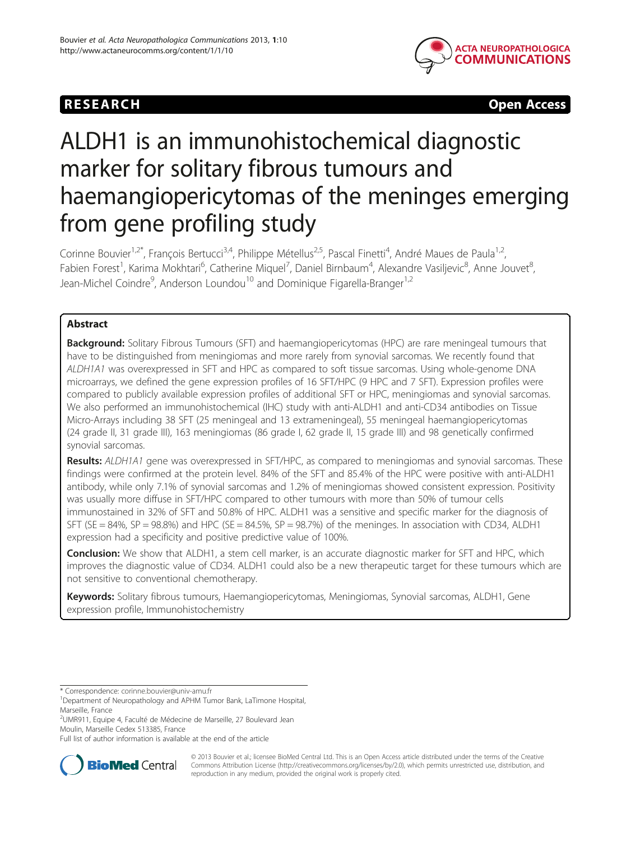## RESEARCH **CHURCH CHURCH CHURCH CHURCH CHURCH CHURCH** CHURCH CHURCH CHURCH CHURCH CHURCH CHURCH CHURCH CHURCH CHURCH CHURCH CHURCH CHURCH CHURCH CHURCH CHURCH CHURCH CHURCH CHURCH CHURCH CHURCH CHURCH CHURCH CHURCH CHURCH C



# ALDH1 is an immunohistochemical diagnostic marker for solitary fibrous tumours and haemangiopericytomas of the meninges emerging from gene profiling study

Corinne Bouvier<sup>1,2\*</sup>, François Bertucci<sup>3,4</sup>, Philippe Métellus<sup>2,5</sup>, Pascal Finetti<sup>4</sup>, André Maues de Paula<sup>1,2</sup>, Fabien Forest<sup>1</sup>, Karima Mokhtari<sup>6</sup>, Catherine Miquel<sup>7</sup>, Daniel Birnbaum<sup>4</sup>, Alexandre Vasiljevic<sup>8</sup>, Anne Jouvet<sup>8</sup> , Jean-Michel Coindre<sup>9</sup>, Anderson Loundou<sup>10</sup> and Dominique Figarella-Branger<sup>1,2</sup>

## Abstract

Background: Solitary Fibrous Tumours (SFT) and haemangiopericytomas (HPC) are rare meningeal tumours that have to be distinguished from meningiomas and more rarely from synovial sarcomas. We recently found that ALDH1A1 was overexpressed in SFT and HPC as compared to soft tissue sarcomas. Using whole-genome DNA microarrays, we defined the gene expression profiles of 16 SFT/HPC (9 HPC and 7 SFT). Expression profiles were compared to publicly available expression profiles of additional SFT or HPC, meningiomas and synovial sarcomas. We also performed an immunohistochemical (IHC) study with anti-ALDH1 and anti-CD34 antibodies on Tissue Micro-Arrays including 38 SFT (25 meningeal and 13 extrameningeal), 55 meningeal haemangiopericytomas (24 grade II, 31 grade III), 163 meningiomas (86 grade I, 62 grade II, 15 grade III) and 98 genetically confirmed synovial sarcomas.

Results: ALDH1A1 gene was overexpressed in SFT/HPC, as compared to meningiomas and synovial sarcomas. These findings were confirmed at the protein level. 84% of the SFT and 85.4% of the HPC were positive with anti-ALDH1 antibody, while only 7.1% of synovial sarcomas and 1.2% of meningiomas showed consistent expression. Positivity was usually more diffuse in SFT/HPC compared to other tumours with more than 50% of tumour cells immunostained in 32% of SFT and 50.8% of HPC. ALDH1 was a sensitive and specific marker for the diagnosis of SFT (SE = 84%, SP = 98.8%) and HPC (SE = 84.5%, SP = 98.7%) of the meninges. In association with CD34, ALDH1 expression had a specificity and positive predictive value of 100%.

Conclusion: We show that ALDH1, a stem cell marker, is an accurate diagnostic marker for SFT and HPC, which improves the diagnostic value of CD34. ALDH1 could also be a new therapeutic target for these tumours which are not sensitive to conventional chemotherapy.

Keywords: Solitary fibrous tumours, Haemangiopericytomas, Meningiomas, Synovial sarcomas, ALDH1, Gene expression profile, Immunohistochemistry

<sup>2</sup>UMR911, Equipe 4, Faculté de Médecine de Marseille, 27 Boulevard Jean Moulin, Marseille Cedex 513385, France

Full list of author information is available at the end of the article



© 2013 Bouvier et al.; licensee BioMed Central Ltd. This is an Open Access article distributed under the terms of the Creative Commons Attribution License [\(http://creativecommons.org/licenses/by/2.0\)](http://creativecommons.org/licenses/by/2.0), which permits unrestricted use, distribution, and reproduction in any medium, provided the original work is properly cited.

<sup>\*</sup> Correspondence: [corinne.bouvier@univ-amu.fr](mailto:corinne.bouvier@univ-amu.fr) <sup>1</sup>

<sup>&</sup>lt;sup>1</sup>Department of Neuropathology and APHM Tumor Bank, LaTimone Hospital, Marseille, France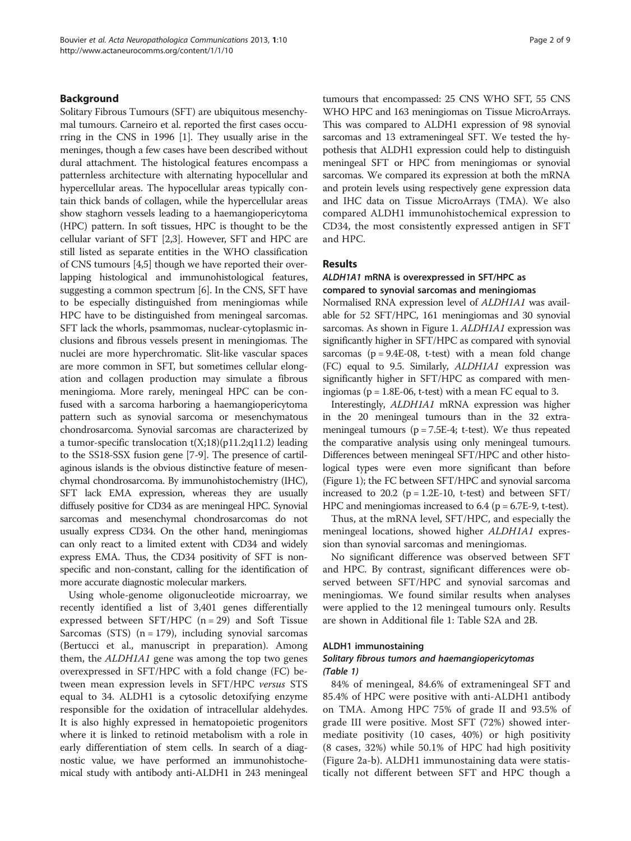#### Background

Solitary Fibrous Tumours (SFT) are ubiquitous mesenchymal tumours. Carneiro et al. reported the first cases occurring in the CNS in 1996 [\[1\]](#page-7-0). They usually arise in the meninges, though a few cases have been described without dural attachment. The histological features encompass a patternless architecture with alternating hypocellular and hypercellular areas. The hypocellular areas typically contain thick bands of collagen, while the hypercellular areas show staghorn vessels leading to a haemangiopericytoma (HPC) pattern. In soft tissues, HPC is thought to be the cellular variant of SFT [[2,3](#page-7-0)]. However, SFT and HPC are still listed as separate entities in the WHO classification of CNS tumours [[4,5](#page-7-0)] though we have reported their overlapping histological and immunohistological features, suggesting a common spectrum [\[6\]](#page-7-0). In the CNS, SFT have to be especially distinguished from meningiomas while HPC have to be distinguished from meningeal sarcomas. SFT lack the whorls, psammomas, nuclear-cytoplasmic inclusions and fibrous vessels present in meningiomas. The nuclei are more hyperchromatic. Slit-like vascular spaces are more common in SFT, but sometimes cellular elongation and collagen production may simulate a fibrous meningioma. More rarely, meningeal HPC can be confused with a sarcoma harboring a haemangiopericytoma pattern such as synovial sarcoma or mesenchymatous chondrosarcoma. Synovial sarcomas are characterized by a tumor-specific translocation  $t(X;18)(p11.2;q11.2)$  leading to the SS18-SSX fusion gene [[7-9](#page-7-0)]. The presence of cartilaginous islands is the obvious distinctive feature of mesenchymal chondrosarcoma. By immunohistochemistry (IHC), SFT lack EMA expression, whereas they are usually diffusely positive for CD34 as are meningeal HPC. Synovial sarcomas and mesenchymal chondrosarcomas do not usually express CD34. On the other hand, meningiomas can only react to a limited extent with CD34 and widely express EMA. Thus, the CD34 positivity of SFT is nonspecific and non-constant, calling for the identification of more accurate diagnostic molecular markers.

Using whole-genome oligonucleotide microarray, we recently identified a list of 3,401 genes differentially expressed between  $SFT/HPC$  (n = 29) and Soft Tissue Sarcomas (STS)  $(n = 179)$ , including synovial sarcomas (Bertucci et al., manuscript in preparation). Among them, the ALDH1A1 gene was among the top two genes overexpressed in SFT/HPC with a fold change (FC) between mean expression levels in SFT/HPC versus STS equal to 34. ALDH1 is a cytosolic detoxifying enzyme responsible for the oxidation of intracellular aldehydes. It is also highly expressed in hematopoietic progenitors where it is linked to retinoid metabolism with a role in early differentiation of stem cells. In search of a diagnostic value, we have performed an immunohistochemical study with antibody anti-ALDH1 in 243 meningeal

tumours that encompassed: 25 CNS WHO SFT, 55 CNS WHO HPC and 163 meningiomas on Tissue MicroArrays. This was compared to ALDH1 expression of 98 synovial sarcomas and 13 extrameningeal SFT. We tested the hypothesis that ALDH1 expression could help to distinguish meningeal SFT or HPC from meningiomas or synovial sarcomas. We compared its expression at both the mRNA and protein levels using respectively gene expression data and IHC data on Tissue MicroArrays (TMA). We also compared ALDH1 immunohistochemical expression to CD34, the most consistently expressed antigen in SFT and HPC.

#### Results

#### ALDH1A1 mRNA is overexpressed in SFT/HPC as compared to synovial sarcomas and meningiomas

Normalised RNA expression level of ALDH1A1 was available for 52 SFT/HPC, 161 meningiomas and 30 synovial sarcomas. As shown in Figure [1](#page-2-0). ALDH1A1 expression was significantly higher in SFT/HPC as compared with synovial sarcomas ( $p = 9.4E-08$ , t-test) with a mean fold change (FC) equal to 9.5. Similarly, ALDH1A1 expression was significantly higher in SFT/HPC as compared with meningiomas ( $p = 1.8E-06$ , t-test) with a mean FC equal to 3.

Interestingly, ALDH1A1 mRNA expression was higher in the 20 meningeal tumours than in the 32 extrameningeal tumours ( $p = 7.5E-4$ ; t-test). We thus repeated the comparative analysis using only meningeal tumours. Differences between meningeal SFT/HPC and other histological types were even more significant than before (Figure [1](#page-2-0)); the FC between SFT/HPC and synovial sarcoma increased to 20.2 ( $p = 1.2E-10$ , t-test) and between SFT/ HPC and meningiomas increased to  $6.4$  ( $p = 6.7E-9$ , t-test).

Thus, at the mRNA level, SFT/HPC, and especially the meningeal locations, showed higher ALDH1A1 expression than synovial sarcomas and meningiomas.

No significant difference was observed between SFT and HPC. By contrast, significant differences were observed between SFT/HPC and synovial sarcomas and meningiomas. We found similar results when analyses were applied to the 12 meningeal tumours only. Results are shown in Additional file [1:](#page-6-0) Table S2A and 2B.

#### ALDH1 immunostaining

#### Solitary fibrous tumors and haemangiopericytomas (Table [1\)](#page-2-0)

84% of meningeal, 84.6% of extrameningeal SFT and 85.4% of HPC were positive with anti-ALDH1 antibody on TMA. Among HPC 75% of grade II and 93.5% of grade III were positive. Most SFT (72%) showed intermediate positivity (10 cases, 40%) or high positivity (8 cases, 32%) while 50.1% of HPC had high positivity (Figure [2](#page-3-0)a-b). ALDH1 immunostaining data were statistically not different between SFT and HPC though a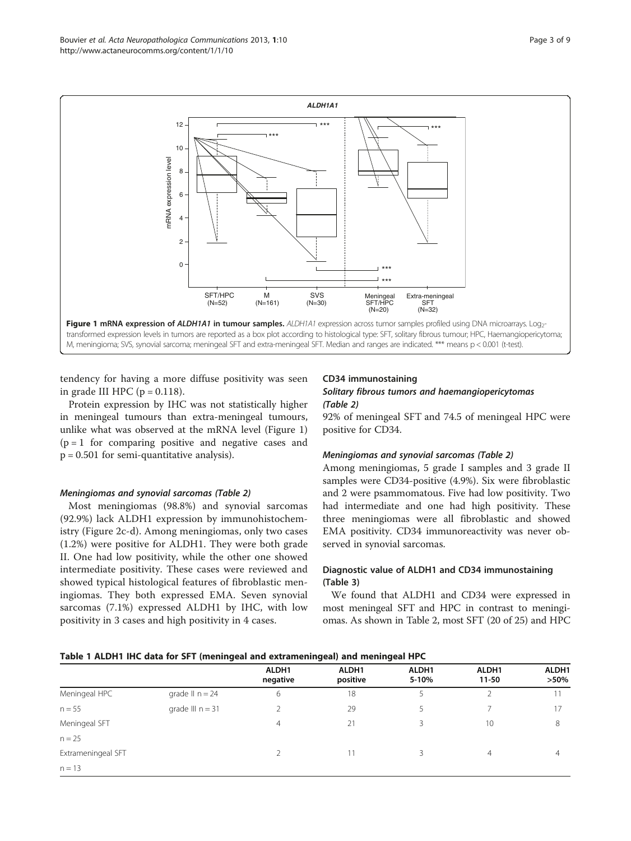<span id="page-2-0"></span>

tendency for having a more diffuse positivity was seen in grade III HPC ( $p = 0.118$ ).

Protein expression by IHC was not statistically higher in meningeal tumours than extra-meningeal tumours, unlike what was observed at the mRNA level (Figure 1)  $(p = 1)$  for comparing positive and negative cases and  $p = 0.501$  for semi-quantitative analysis).

## Meningiomas and synovial sarcomas (Table [2](#page-3-0))

Most meningiomas (98.8%) and synovial sarcomas (92.9%) lack ALDH1 expression by immunohistochemistry (Figure [2c](#page-3-0)-d). Among meningiomas, only two cases (1.2%) were positive for ALDH1. They were both grade II. One had low positivity, while the other one showed intermediate positivity. These cases were reviewed and showed typical histological features of fibroblastic meningiomas. They both expressed EMA. Seven synovial sarcomas (7.1%) expressed ALDH1 by IHC, with low positivity in 3 cases and high positivity in 4 cases.

## CD34 immunostaining

## Solitary fibrous tumors and haemangiopericytomas (Table [2\)](#page-3-0)

92% of meningeal SFT and 74.5 of meningeal HPC were positive for CD34.

#### Meningiomas and synovial sarcomas (Table [2](#page-3-0))

Among meningiomas, 5 grade I samples and 3 grade II samples were CD34-positive (4.9%). Six were fibroblastic and 2 were psammomatous. Five had low positivity. Two had intermediate and one had high positivity. These three meningiomas were all fibroblastic and showed EMA positivity. CD34 immunoreactivity was never observed in synovial sarcomas.

## Diagnostic value of ALDH1 and CD34 immunostaining (Table [3\)](#page-4-0)

We found that ALDH1 and CD34 were expressed in most meningeal SFT and HPC in contrast to meningiomas. As shown in Table [2,](#page-3-0) most SFT (20 of 25) and HPC

#### Table 1 ALDH1 IHC data for SFT (meningeal and extrameningeal) and meningeal HPC

|                    |                    | ALDH1<br>negative | ALDH1<br>positive | ALDH1<br>5-10% | ALDH1<br>$11 - 50$ | ALDH1<br>$>50\%$ |
|--------------------|--------------------|-------------------|-------------------|----------------|--------------------|------------------|
| Meningeal HPC      | grade $\ln n = 24$ | 6                 | 18                | 5              |                    |                  |
| $n = 55$           | grade III $n = 31$ |                   | 29                | 5.             |                    | 17               |
| Meningeal SFT      |                    | $\overline{4}$    | 21                | ₹              | 10                 | 8                |
| $n = 25$           |                    |                   |                   |                |                    |                  |
| Extrameningeal SFT |                    |                   | 11                |                | 4                  | $\overline{4}$   |
| $n = 13$           |                    |                   |                   |                |                    |                  |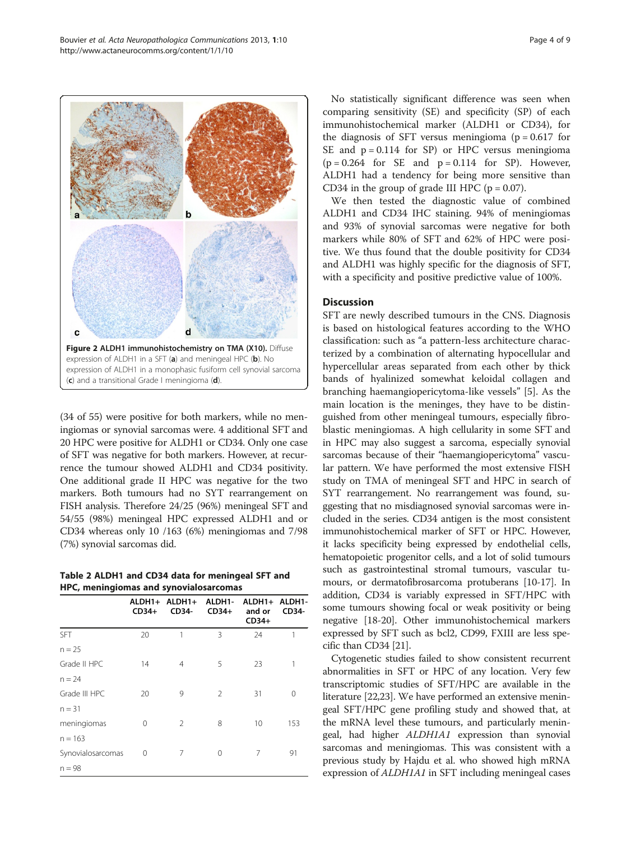(34 of 55) were positive for both markers, while no meningiomas or synovial sarcomas were. 4 additional SFT and 20 HPC were positive for ALDH1 or CD34. Only one case of SFT was negative for both markers. However, at recurrence the tumour showed ALDH1 and CD34 positivity. One additional grade II HPC was negative for the two markers. Both tumours had no SYT rearrangement on FISH analysis. Therefore 24/25 (96%) meningeal SFT and 54/55 (98%) meningeal HPC expressed ALDH1 and or CD34 whereas only 10 /163 (6%) meningiomas and 7/98 (7%) synovial sarcomas did.

Table 2 ALDH1 and CD34 data for meningeal SFT and HPC, meningiomas and synovialosarcomas

|                   | $CD34+$ | ALDH1+ ALDH1+<br>CD34- | ALDH1-<br>$CD34+$ | ALDH1+ ALDH1-<br>and or<br>$CD34+$ | CD34- |
|-------------------|---------|------------------------|-------------------|------------------------------------|-------|
| <b>SFT</b>        | 20      | 1                      | 3                 | 24                                 | 1     |
| $n = 25$          |         |                        |                   |                                    |       |
| Grade II HPC      | 14      | $\overline{4}$         | 5                 | 23                                 | 1     |
| $n = 24$          |         |                        |                   |                                    |       |
| Grade III HPC     | 20      | 9                      | $\overline{2}$    | 31                                 | 0     |
| $n = 31$          |         |                        |                   |                                    |       |
| meningiomas       | 0       | 2                      | 8                 | 10                                 | 153   |
| $n = 163$         |         |                        |                   |                                    |       |
| Synovialosarcomas | 0       | 7                      | 0                 | 7                                  | 91    |
| $n = 98$          |         |                        |                   |                                    |       |

No statistically significant difference was seen when comparing sensitivity (SE) and specificity (SP) of each immunohistochemical marker (ALDH1 or CD34), for the diagnosis of SFT versus meningioma ( $p = 0.617$  for SE and  $p = 0.114$  for SP) or HPC versus meningioma  $(p = 0.264$  for SE and  $p = 0.114$  for SP). However, ALDH1 had a tendency for being more sensitive than CD34 in the group of grade III HPC ( $p = 0.07$ ).

We then tested the diagnostic value of combined ALDH1 and CD34 IHC staining. 94% of meningiomas and 93% of synovial sarcomas were negative for both markers while 80% of SFT and 62% of HPC were positive. We thus found that the double positivity for CD34 and ALDH1 was highly specific for the diagnosis of SFT, with a specificity and positive predictive value of 100%.

#### **Discussion**

SFT are newly described tumours in the CNS. Diagnosis is based on histological features according to the WHO classification: such as "a pattern-less architecture characterized by a combination of alternating hypocellular and hypercellular areas separated from each other by thick bands of hyalinized somewhat keloidal collagen and branching haemangiopericytoma-like vessels" [[5\]](#page-7-0). As the main location is the meninges, they have to be distinguished from other meningeal tumours, especially fibroblastic meningiomas. A high cellularity in some SFT and in HPC may also suggest a sarcoma, especially synovial sarcomas because of their "haemangiopericytoma" vascular pattern. We have performed the most extensive FISH study on TMA of meningeal SFT and HPC in search of SYT rearrangement. No rearrangement was found, suggesting that no misdiagnosed synovial sarcomas were included in the series. CD34 antigen is the most consistent immunohistochemical marker of SFT or HPC. However, it lacks specificity being expressed by endothelial cells, hematopoietic progenitor cells, and a lot of solid tumours such as gastrointestinal stromal tumours, vascular tumours, or dermatofibrosarcoma protuberans [\[10-17](#page-7-0)]. In addition, CD34 is variably expressed in SFT/HPC with some tumours showing focal or weak positivity or being negative [[18-20\]](#page-7-0). Other immunohistochemical markers expressed by SFT such as bcl2, CD99, FXIII are less specific than CD34 [\[21\]](#page-7-0).

Cytogenetic studies failed to show consistent recurrent abnormalities in SFT or HPC of any location. Very few transcriptomic studies of SFT/HPC are available in the literature [[22](#page-7-0),[23](#page-7-0)]. We have performed an extensive meningeal SFT/HPC gene profiling study and showed that, at the mRNA level these tumours, and particularly meningeal, had higher ALDH1A1 expression than synovial sarcomas and meningiomas. This was consistent with a previous study by Hajdu et al. who showed high mRNA expression of ALDH1A1 in SFT including meningeal cases

<span id="page-3-0"></span>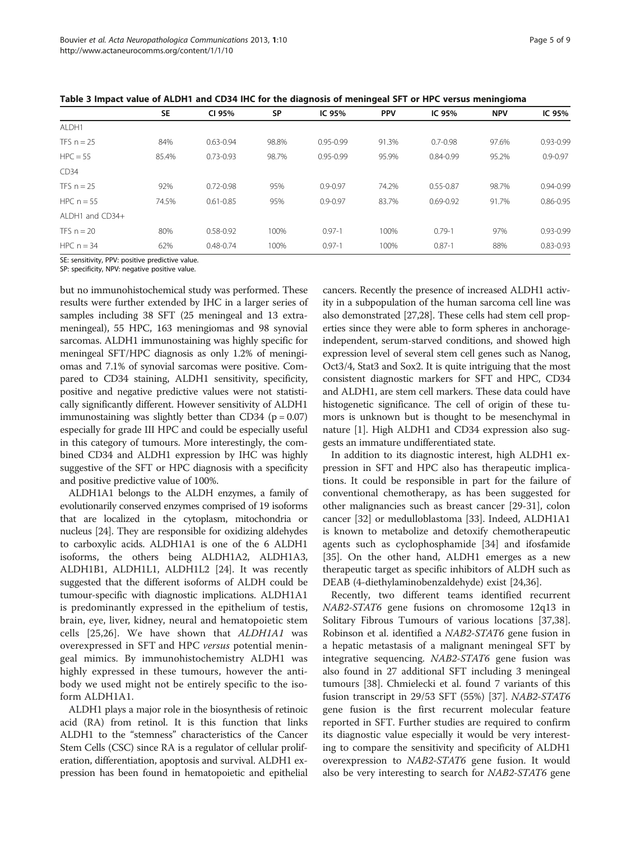|                 | <b>SE</b> | CI 95%        | <b>SP</b> | IC 95%        | <b>PPV</b> | IC 95%        | <b>NPV</b> | IC 95%        |
|-----------------|-----------|---------------|-----------|---------------|------------|---------------|------------|---------------|
| ALDH1           |           |               |           |               |            |               |            |               |
| TFS $n = 25$    | 84%       | $0.63 - 0.94$ | 98.8%     | $0.95 - 0.99$ | 91.3%      | $0.7 - 0.98$  | 97.6%      | $0.93 - 0.99$ |
| $HPC = 55$      | 85.4%     | $0.73 - 0.93$ | 98.7%     | $0.95 - 0.99$ | 95.9%      | $0.84 - 0.99$ | 95.2%      | $0.9 - 0.97$  |
| CD34            |           |               |           |               |            |               |            |               |
| TFS $n = 25$    | 92%       | $0.72 - 0.98$ | 95%       | $0.9 - 0.97$  | 74.2%      | $0.55 - 0.87$ | 98.7%      | $0.94 - 0.99$ |
| HPC $n = 55$    | 74.5%     | $0.61 - 0.85$ | 95%       | $0.9 - 0.97$  | 83.7%      | $0.69 - 0.92$ | 91.7%      | $0.86 - 0.95$ |
| ALDH1 and CD34+ |           |               |           |               |            |               |            |               |
| TFS $n = 20$    | 80%       | $0.58 - 0.92$ | 100%      | $0.97 - 1$    | 100%       | $0.79 - 1$    | 97%        | $0.93 - 0.99$ |
| HPC $n = 34$    | 62%       | $0.48 - 0.74$ | 100%      | $0.97 - 1$    | 100%       | $0.87 - 1$    | 88%        | $0.83 - 0.93$ |

<span id="page-4-0"></span>Table 3 Impact value of ALDH1 and CD34 IHC for the diagnosis of meningeal SFT or HPC versus meningioma

SE: sensitivity, PPV: positive predictive value. SP: specificity, NPV: negative positive value.

but no immunohistochemical study was performed. These results were further extended by IHC in a larger series of samples including 38 SFT (25 meningeal and 13 extrameningeal), 55 HPC, 163 meningiomas and 98 synovial sarcomas. ALDH1 immunostaining was highly specific for meningeal SFT/HPC diagnosis as only 1.2% of meningiomas and 7.1% of synovial sarcomas were positive. Compared to CD34 staining, ALDH1 sensitivity, specificity, positive and negative predictive values were not statistically significantly different. However sensitivity of ALDH1 immunostaining was slightly better than CD34 ( $p = 0.07$ ) especially for grade III HPC and could be especially useful in this category of tumours. More interestingly, the combined CD34 and ALDH1 expression by IHC was highly suggestive of the SFT or HPC diagnosis with a specificity and positive predictive value of 100%.

ALDH1A1 belongs to the ALDH enzymes, a family of evolutionarily conserved enzymes comprised of 19 isoforms that are localized in the cytoplasm, mitochondria or nucleus [[24](#page-7-0)]. They are responsible for oxidizing aldehydes to carboxylic acids. ALDH1A1 is one of the 6 ALDH1 isoforms, the others being ALDH1A2, ALDH1A3, ALDH1B1, ALDH1L1, ALDH1L2 [\[24](#page-7-0)]. It was recently suggested that the different isoforms of ALDH could be tumour-specific with diagnostic implications. ALDH1A1 is predominantly expressed in the epithelium of testis, brain, eye, liver, kidney, neural and hematopoietic stem cells [\[25,26](#page-7-0)]. We have shown that ALDH1A1 was overexpressed in SFT and HPC versus potential meningeal mimics. By immunohistochemistry ALDH1 was highly expressed in these tumours, however the antibody we used might not be entirely specific to the isoform ALDH1A1.

ALDH1 plays a major role in the biosynthesis of retinoic acid (RA) from retinol. It is this function that links ALDH1 to the "stemness" characteristics of the Cancer Stem Cells (CSC) since RA is a regulator of cellular proliferation, differentiation, apoptosis and survival. ALDH1 expression has been found in hematopoietic and epithelial

cancers. Recently the presence of increased ALDH1 activity in a subpopulation of the human sarcoma cell line was also demonstrated [\[27,28](#page-7-0)]. These cells had stem cell properties since they were able to form spheres in anchorageindependent, serum-starved conditions, and showed high expression level of several stem cell genes such as Nanog, Oct3/4, Stat3 and Sox2. It is quite intriguing that the most consistent diagnostic markers for SFT and HPC, CD34 and ALDH1, are stem cell markers. These data could have histogenetic significance. The cell of origin of these tumors is unknown but is thought to be mesenchymal in nature [\[1](#page-7-0)]. High ALDH1 and CD34 expression also suggests an immature undifferentiated state.

In addition to its diagnostic interest, high ALDH1 expression in SFT and HPC also has therapeutic implications. It could be responsible in part for the failure of conventional chemotherapy, as has been suggested for other malignancies such as breast cancer [[29](#page-7-0)[-31\]](#page-8-0), colon cancer [[32\]](#page-8-0) or medulloblastoma [[33\]](#page-8-0). Indeed, ALDH1A1 is known to metabolize and detoxify chemotherapeutic agents such as cyclophosphamide [[34\]](#page-8-0) and ifosfamide [[35\]](#page-8-0). On the other hand, ALDH1 emerges as a new therapeutic target as specific inhibitors of ALDH such as DEAB (4-diethylaminobenzaldehyde) exist [\[24](#page-7-0)[,36](#page-8-0)].

Recently, two different teams identified recurrent NAB2-STAT6 gene fusions on chromosome 12q13 in Solitary Fibrous Tumours of various locations [\[37,38](#page-8-0)]. Robinson et al. identified a NAB2-STAT6 gene fusion in a hepatic metastasis of a malignant meningeal SFT by integrative sequencing. NAB2-STAT6 gene fusion was also found in 27 additional SFT including 3 meningeal tumours [\[38](#page-8-0)]. Chmielecki et al. found 7 variants of this fusion transcript in 29/53 SFT (55%) [\[37](#page-8-0)]. NAB2-STAT6 gene fusion is the first recurrent molecular feature reported in SFT. Further studies are required to confirm its diagnostic value especially it would be very interesting to compare the sensitivity and specificity of ALDH1 overexpression to NAB2-STAT6 gene fusion. It would also be very interesting to search for NAB2-STAT6 gene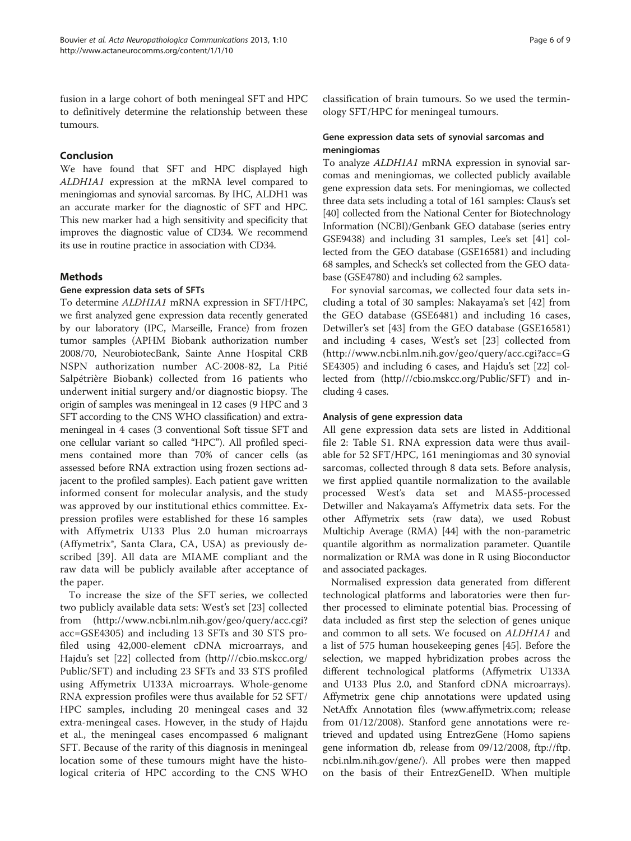fusion in a large cohort of both meningeal SFT and HPC to definitively determine the relationship between these tumours.

## Conclusion

We have found that SFT and HPC displayed high ALDH1A1 expression at the mRNA level compared to meningiomas and synovial sarcomas. By IHC, ALDH1 was an accurate marker for the diagnostic of SFT and HPC. This new marker had a high sensitivity and specificity that improves the diagnostic value of CD34. We recommend its use in routine practice in association with CD34.

## Methods

## Gene expression data sets of SFTs

To determine ALDH1A1 mRNA expression in SFT/HPC, we first analyzed gene expression data recently generated by our laboratory (IPC, Marseille, France) from frozen tumor samples (APHM Biobank authorization number 2008/70, NeurobiotecBank, Sainte Anne Hospital CRB NSPN authorization number AC-2008-82, La Pitié Salpétrière Biobank) collected from 16 patients who underwent initial surgery and/or diagnostic biopsy. The origin of samples was meningeal in 12 cases (9 HPC and 3 SFT according to the CNS WHO classification) and extrameningeal in 4 cases (3 conventional Soft tissue SFT and one cellular variant so called "HPC"). All profiled specimens contained more than 70% of cancer cells (as assessed before RNA extraction using frozen sections adjacent to the profiled samples). Each patient gave written informed consent for molecular analysis, and the study was approved by our institutional ethics committee. Expression profiles were established for these 16 samples with Affymetrix U133 Plus 2.0 human microarrays (Affymetrix®, Santa Clara, CA, USA) as previously described [\[39](#page-8-0)]. All data are MIAME compliant and the raw data will be publicly available after acceptance of the paper.

To increase the size of the SFT series, we collected two publicly available data sets: West's set [\[23](#page-7-0)] collected from [\(http://www.ncbi.nlm.nih.gov/geo/query/acc.cgi?](http://www.ncbi.nlm.nih.gov/geo/query/acc.cgi?acc=GSE4305) [acc=GSE4305](http://www.ncbi.nlm.nih.gov/geo/query/acc.cgi?acc=GSE4305)) and including 13 SFTs and 30 STS profiled using 42,000-element cDNA microarrays, and Hajdu's set [[22\]](#page-7-0) collected from ([http///cbio.mskcc.org/](http://http///cbio.mskcc.org/Public/SFT) [Public/SFT](http://http///cbio.mskcc.org/Public/SFT)) and including 23 SFTs and 33 STS profiled using Affymetrix U133A microarrays. Whole-genome RNA expression profiles were thus available for 52 SFT/ HPC samples, including 20 meningeal cases and 32 extra-meningeal cases. However, in the study of Hajdu et al., the meningeal cases encompassed 6 malignant SFT. Because of the rarity of this diagnosis in meningeal location some of these tumours might have the histological criteria of HPC according to the CNS WHO classification of brain tumours. So we used the terminology SFT/HPC for meningeal tumours.

## Gene expression data sets of synovial sarcomas and meningiomas

To analyze ALDH1A1 mRNA expression in synovial sarcomas and meningiomas, we collected publicly available gene expression data sets. For meningiomas, we collected three data sets including a total of 161 samples: Claus's set [[40](#page-8-0)] collected from the National Center for Biotechnology Information (NCBI)/Genbank GEO database (series entry GSE9438) and including 31 samples, Lee's set [[41](#page-8-0)] collected from the GEO database (GSE16581) and including 68 samples, and Scheck's set collected from the GEO database (GSE4780) and including 62 samples.

For synovial sarcomas, we collected four data sets including a total of 30 samples: Nakayama's set [[42\]](#page-8-0) from the GEO database (GSE6481) and including 16 cases, Detwiller's set [[43\]](#page-8-0) from the GEO database (GSE16581) and including 4 cases, West's set [\[23](#page-7-0)] collected from ([http://www.ncbi.nlm.nih.gov/geo/query/acc.cgi?acc=G](http://www.ncbi.nlm.nih.gov/geo/query/acc.cgi?acc=GSE4305) [SE4305\)](http://www.ncbi.nlm.nih.gov/geo/query/acc.cgi?acc=GSE4305) and including 6 cases, and Hajdu's set [[22](#page-7-0)] collected from ([http///cbio.mskcc.org/Public/SFT](http://http///cbio.mskcc.org/Public/SFT)) and including 4 cases.

## Analysis of gene expression data

All gene expression data sets are listed in Additional file [2:](#page-6-0) Table S1. RNA expression data were thus available for 52 SFT/HPC, 161 meningiomas and 30 synovial sarcomas, collected through 8 data sets. Before analysis, we first applied quantile normalization to the available processed West's data set and MAS5-processed Detwiller and Nakayama's Affymetrix data sets. For the other Affymetrix sets (raw data), we used Robust Multichip Average (RMA) [\[44](#page-8-0)] with the non-parametric quantile algorithm as normalization parameter. Quantile normalization or RMA was done in R using Bioconductor and associated packages.

Normalised expression data generated from different technological platforms and laboratories were then further processed to eliminate potential bias. Processing of data included as first step the selection of genes unique and common to all sets. We focused on ALDH1A1 and a list of 575 human housekeeping genes [[45](#page-8-0)]. Before the selection, we mapped hybridization probes across the different technological platforms (Affymetrix U133A and U133 Plus 2.0, and Stanford cDNA microarrays). Affymetrix gene chip annotations were updated using NetAffx Annotation files ([www.affymetrix.com](http://www.affymetrix.com/); release from 01/12/2008). Stanford gene annotations were retrieved and updated using EntrezGene (Homo sapiens gene information db, release from 09/12/2008, [ftp://ftp.](ftp://ftp.ncbi.nlm.nih.gov/gene/) [ncbi.nlm.nih.gov/gene/](ftp://ftp.ncbi.nlm.nih.gov/gene/)). All probes were then mapped on the basis of their EntrezGeneID. When multiple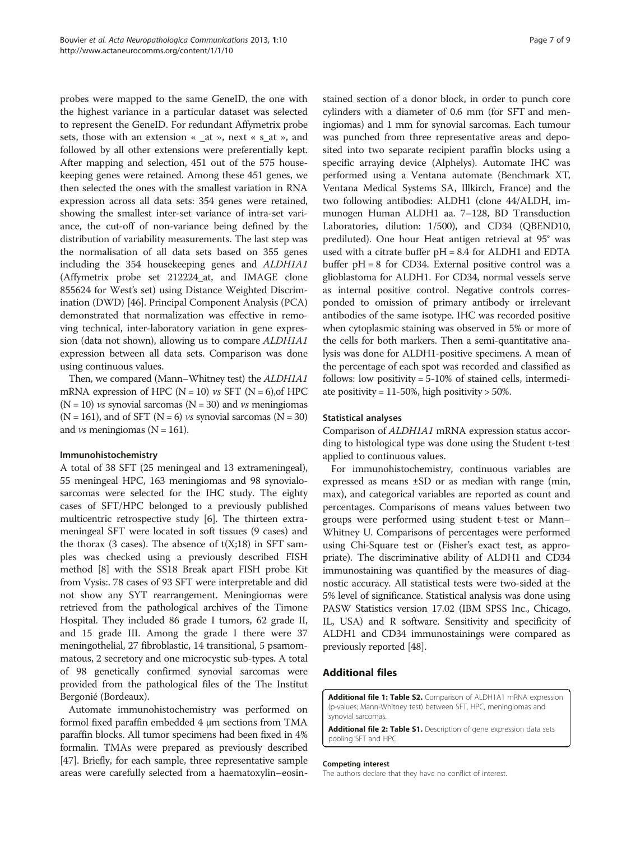<span id="page-6-0"></span>probes were mapped to the same GeneID, the one with the highest variance in a particular dataset was selected to represent the GeneID. For redundant Affymetrix probe sets, those with an extension « \_at », next « s\_at », and followed by all other extensions were preferentially kept. After mapping and selection, 451 out of the 575 housekeeping genes were retained. Among these 451 genes, we then selected the ones with the smallest variation in RNA expression across all data sets: 354 genes were retained, showing the smallest inter-set variance of intra-set variance, the cut-off of non-variance being defined by the distribution of variability measurements. The last step was the normalisation of all data sets based on 355 genes including the 354 housekeeping genes and ALDH1A1 (Affymetrix probe set 212224\_at, and IMAGE clone 855624 for West's set) using Distance Weighted Discrimination (DWD) [\[46\]](#page-8-0). Principal Component Analysis (PCA) demonstrated that normalization was effective in removing technical, inter-laboratory variation in gene expression (data not shown), allowing us to compare ALDH1A1 expression between all data sets. Comparison was done using continuous values.

Then, we compared (Mann–Whitney test) the ALDH1A1 mRNA expression of HPC ( $N = 10$ ) vs SFT ( $N = 6$ ), of HPC  $(N = 10)$  vs synovial sarcomas  $(N = 30)$  and vs meningiomas  $(N = 161)$ , and of SFT  $(N = 6)$  vs synovial sarcomas  $(N = 30)$ and *vs* meningiomas ( $N = 161$ ).

#### Immunohistochemistry

A total of 38 SFT (25 meningeal and 13 extrameningeal), 55 meningeal HPC, 163 meningiomas and 98 synovialosarcomas were selected for the IHC study. The eighty cases of SFT/HPC belonged to a previously published multicentric retrospective study [[6](#page-7-0)]. The thirteen extrameningeal SFT were located in soft tissues (9 cases) and the thorax (3 cases). The absence of  $t(X;18)$  in SFT samples was checked using a previously described FISH method [\[8](#page-7-0)] with the SS18 Break apart FISH probe Kit from Vysis:. 78 cases of 93 SFT were interpretable and did not show any SYT rearrangement. Meningiomas were retrieved from the pathological archives of the Timone Hospital. They included 86 grade I tumors, 62 grade II, and 15 grade III. Among the grade I there were 37 meningothelial, 27 fibroblastic, 14 transitional, 5 psamommatous, 2 secretory and one microcystic sub-types. A total of 98 genetically confirmed synovial sarcomas were provided from the pathological files of the The Institut Bergonié (Bordeaux).

Automate immunohistochemistry was performed on formol fixed paraffin embedded 4 μm sections from TMA paraffin blocks. All tumor specimens had been fixed in 4% formalin. TMAs were prepared as previously described [[47](#page-8-0)]. Briefly, for each sample, three representative sample areas were carefully selected from a haematoxylin–eosin-

stained section of a donor block, in order to punch core cylinders with a diameter of 0.6 mm (for SFT and meningiomas) and 1 mm for synovial sarcomas. Each tumour was punched from three representative areas and deposited into two separate recipient paraffin blocks using a specific arraying device (Alphelys). Automate IHC was performed using a Ventana automate (Benchmark XT, Ventana Medical Systems SA, Illkirch, France) and the two following antibodies: ALDH1 (clone 44/ALDH, immunogen Human ALDH1 aa. 7–128, BD Transduction Laboratories, dilution: 1/500), and CD34 (QBEND10, prediluted). One hour Heat antigen retrieval at 95° was used with a citrate buffer pH = 8.4 for ALDH1 and EDTA buffer pH = 8 for CD34. External positive control was a glioblastoma for ALDH1. For CD34, normal vessels serve as internal positive control. Negative controls corresponded to omission of primary antibody or irrelevant antibodies of the same isotype. IHC was recorded positive when cytoplasmic staining was observed in 5% or more of the cells for both markers. Then a semi-quantitative analysis was done for ALDH1-positive specimens. A mean of the percentage of each spot was recorded and classified as follows: low positivity = 5-10% of stained cells, intermediate positivity =  $11-50\%$ , high positivity > 50%.

#### Statistical analyses

Comparison of ALDH1A1 mRNA expression status according to histological type was done using the Student t-test applied to continuous values.

For immunohistochemistry, continuous variables are expressed as means ±SD or as median with range (min, max), and categorical variables are reported as count and percentages. Comparisons of means values between two groups were performed using student t-test or Mann– Whitney U. Comparisons of percentages were performed using Chi-Square test or (Fisher's exact test, as appropriate). The discriminative ability of ALDH1 and CD34 immunostaining was quantified by the measures of diagnostic accuracy. All statistical tests were two-sided at the 5% level of significance. Statistical analysis was done using PASW Statistics version 17.02 (IBM SPSS Inc., Chicago, IL, USA) and R software. Sensitivity and specificity of ALDH1 and CD34 immunostainings were compared as previously reported [\[48\]](#page-8-0).

#### Additional files

[Additional file 1: Table S2.](http://www.biomedcentral.com/content/supplementary/2051-5960-1-10-S1.xls) Comparison of ALDH1A1 mRNA expression (p-values; Mann-Whitney test) between SFT, HPC, meningiomas and synovial sarcomas.

[Additional file 2: Table S1.](http://www.biomedcentral.com/content/supplementary/2051-5960-1-10-S2.xls) Description of gene expression data sets pooling SFT and HPC.

#### Competing interest

The authors declare that they have no conflict of interest.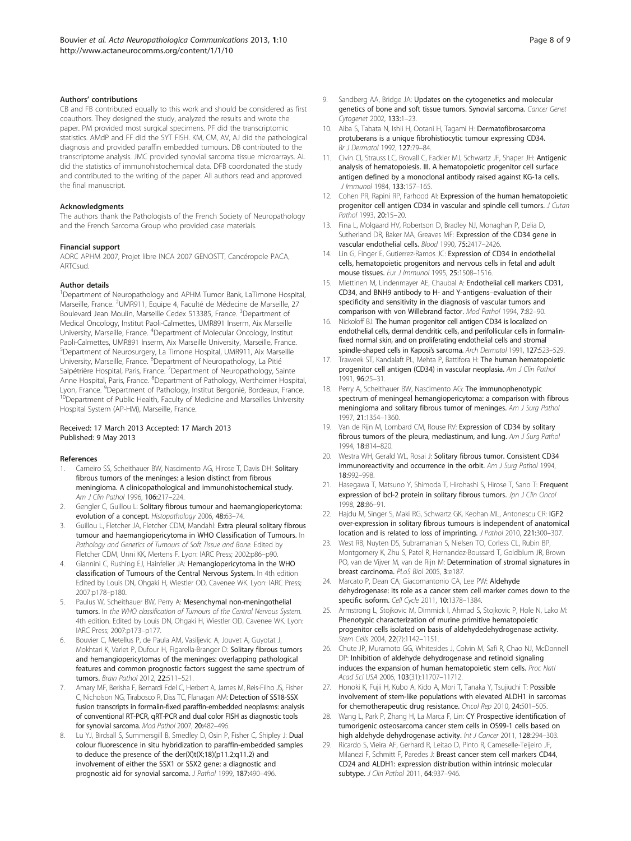#### <span id="page-7-0"></span>Authors' contributions

CB and FB contributed equally to this work and should be considered as first coauthors. They designed the study, analyzed the results and wrote the paper. PM provided most surgical specimens. PF did the transcriptomic statistics. AMdP and FF did the SYT FISH. KM, CM, AV, AJ did the pathological diagnosis and provided paraffin embedded tumours. DB contributed to the transcriptome analysis. JMC provided synovial sarcoma tissue microarrays. AL did the statistics of immunohistochemical data. DFB coordonated the study and contributed to the writing of the paper. All authors read and approved the final manuscript.

#### Acknowledgments

The authors thank the Pathologists of the French Society of Neuropathology and the French Sarcoma Group who provided case materials.

#### Financial support

AORC APHM 2007, Projet libre INCA 2007 GENOSTT, Cancéropole PACA, ARTCsud.

#### Author details

<sup>1</sup>Department of Neuropathology and APHM Tumor Bank, LaTimone Hospital, Marseille, France. <sup>2</sup>UMR911, Equipe 4, Faculté de Médecine de Marseille, 27 Boulevard Jean Moulin, Marseille Cedex 513385, France. <sup>3</sup>Department of Medical Oncology, Institut Paoli-Calmettes, UMR891 Inserm, Aix Marseille University, Marseille, France. <sup>4</sup>Department of Molecular Oncology, Institut Paoli-Calmettes, UMR891 Inserm, Aix Marseille University, Marseille, France. 5 Department of Neurosurgery, La Timone Hospital, UMR911, Aix Marseille University, Marseille, France. <sup>6</sup>Department of Neuropathology, La Pitié Salpétrière Hospital, Paris, France. <sup>7</sup>Department of Neuropathology, Sainte Anne Hospital, Paris, France. <sup>8</sup>Department of Pathology, Wertheimer Hospital, Lyon, France. <sup>9</sup>Department of Pathology, Institut Bergonié, Bordeaux, France.  $^0$ Department of Public Health, Faculty of Medicine and Marseilles University Hospital System (AP-HM), Marseille, France.

#### Received: 17 March 2013 Accepted: 17 March 2013 Published: 9 May 2013

#### References

- Carneiro SS, Scheithauer BW, Nascimento AG, Hirose T, Davis DH: Solitary fibrous tumors of the meninges: a lesion distinct from fibrous meningioma. A clinicopathological and immunohistochemical study. Am J Clin Pathol 1996, 106:217–224.
- 2. Gengler C, Guillou L: Solitary fibrous tumour and haemangiopericytoma: evolution of a concept. Histopathology 2006, 48:63–74.
- 3. Guillou L, Fletcher JA, Fletcher CDM, Mandahl: Extra pleural solitary fibrous tumour and haemangiopericytoma in WHO Classification of Tumours. In Pathology and Genetics of Tumours of Soft Tissue and Bone. Edited by Fletcher CDM, Unni KK, Mertens F. Lyon: IARC Press; 2002:p86–p90.
- 4. Giannini C, Rushing EJ, Hainfelier JA: Hemangiopericytoma in the WHO classification of Tumours of the Central Nervous System. In 4th edition Edited by Louis DN, Ohgaki H, Wiestler OD, Cavenee WK. Lyon: IARC Press; 2007:p178–p180.
- 5. Paulus W, Scheithauer BW, Perry A: Mesenchymal non-meningothelial tumors. In the WHO classification of Tumours of the Central Nervous System. 4th edition. Edited by Louis DN, Ohgaki H, Wiestler OD, Cavenee WK. Lyon: IARC Press; 2007:p173–p177.
- 6. Bouvier C, Metellus P, de Paula AM, Vasiljevic A, Jouvet A, Guyotat J, Mokhtari K, Varlet P, Dufour H, Figarella-Branger D: Solitary fibrous tumors and hemangiopericytomas of the meninges: overlapping pathological features and common prognostic factors suggest the same spectrum of tumors. Brain Pathol 2012, 22:511–521.
- 7. Amary MF, Berisha F, Bernardi Fdel C, Herbert A, James M, Reis-Filho JS, Fisher C, Nicholson NG, Tirabosco R, Diss TC, Flanagan AM: Detection of SS18-SSX fusion transcripts in formalin-fixed paraffin-embedded neoplasms: analysis of conventional RT-PCR, qRT-PCR and dual color FISH as diagnostic tools for synovial sarcoma. Mod Pathol 2007, 20:482–496.
- Lu YJ, Birdsall S, Summersgill B, Smedley D, Osin P, Fisher C, Shipley J: Dual colour fluorescence in situ hybridization to paraffin-embedded samples to deduce the presence of the der(X)t(X;18)(p11.2;q11.2) and involvement of either the SSX1 or SSX2 gene: a diagnostic and prognostic aid for synovial sarcoma. J Pathol 1999, 187:490-496.
- Sandberg AA, Bridge JA: Updates on the cytogenetics and molecular genetics of bone and soft tissue tumors. Synovial sarcoma. Cancer Genet Cytogenet 2002, 133:1–23.
- 10. Aiba S, Tabata N, Ishii H, Ootani H, Tagami H: Dermatofibrosarcoma protuberans is a unique fibrohistiocytic tumour expressing CD34. Br J Dermatol 1992, 127:79–84.
- 11. Civin CI, Strauss LC, Brovall C, Fackler MJ, Schwartz JF, Shaper JH: Antigenic analysis of hematopoiesis. III. A hematopoietic progenitor cell surface antigen defined by a monoclonal antibody raised against KG-1a cells. J Immunol 1984, 133:157–165.
- 12. Cohen PR, Rapini RP, Farhood AI: Expression of the human hematopoietic progenitor cell antigen CD34 in vascular and spindle cell tumors. *J Cutan* Pathol 1993, 20:15–20.
- 13. Fina L, Molgaard HV, Robertson D, Bradley NJ, Monaghan P, Delia D, Sutherland DR, Baker MA, Greaves MF: Expression of the CD34 gene in vascular endothelial cells. Blood 1990, 75:2417–2426.
- 14. Lin G, Finger E, Gutierrez-Ramos JC: Expression of CD34 in endothelial cells, hematopoietic progenitors and nervous cells in fetal and adult mouse tissues. Eur J Immunol 1995, 25:1508–1516.
- 15. Miettinen M, Lindenmayer AE, Chaubal A: Endothelial cell markers CD31, CD34, and BNH9 antibody to H- and Y-antigens–evaluation of their specificity and sensitivity in the diagnosis of vascular tumors and comparison with von Willebrand factor. Mod Pathol 1994, 7:82–90.
- 16. Nickoloff BJ: The human progenitor cell antigen CD34 is localized on endothelial cells, dermal dendritic cells, and perifollicular cells in formalinfixed normal skin, and on proliferating endothelial cells and stromal spindle-shaped cells in Kaposi's sarcoma. Arch Dermatol 1991, 127:523–529.
- 17. Traweek ST, Kandalaft PL, Mehta P, Battifora H: The human hematopoietic progenitor cell antigen (CD34) in vascular neoplasia. Am J Clin Pathol 1991, 96:25–31.
- 18. Perry A, Scheithauer BW, Nascimento AG: The immunophenotypic spectrum of meningeal hemangiopericytoma: a comparison with fibrous meningioma and solitary fibrous tumor of meninges. Am J Surg Pathol 1997, 21:1354–1360.
- 19. Van de Rijn M, Lombard CM, Rouse RV: Expression of CD34 by solitary fibrous tumors of the pleura, mediastinum, and lung. Am J Surg Pathol 1994, 18:814–820.
- 20. Westra WH, Gerald WL, Rosai J: Solitary fibrous tumor. Consistent CD34 immunoreactivity and occurrence in the orbit. Am J Surg Pathol 1994, 18:992–998.
- 21. Hasegawa T, Matsuno Y, Shimoda T, Hirohashi S, Hirose T, Sano T: Frequent expression of bcl-2 protein in solitary fibrous tumors. Jpn J Clin Oncol 1998, 28:86–91.
- 22. Hajdu M, Singer S, Maki RG, Schwartz GK, Keohan ML, Antonescu CR: IGF2 over-expression in solitary fibrous tumours is independent of anatomical location and is related to loss of imprinting. J Pathol 2010, 221:300–307.
- 23. West RB, Nuyten DS, Subramanian S, Nielsen TO, Corless CL, Rubin BP, Montgomery K, Zhu S, Patel R, Hernandez-Boussard T, Goldblum JR, Brown PO, van de Vijver M, van de Rijn M: Determination of stromal signatures in breast carcinoma. PLoS Biol 2005, 3:e187.
- 24. Marcato P, Dean CA, Giacomantonio CA, Lee PW: Aldehyde dehydrogenase: its role as a cancer stem cell marker comes down to the specific isoform. Cell Cycle 2011, 10:1378–1384.
- 25. Armstrong L, Stojkovic M, Dimmick I, Ahmad S, Stojkovic P, Hole N, Lako M: Phenotypic characterization of murine primitive hematopoietic progenitor cells isolated on basis of aldehydedehydrogenase activity. Stem Cells 2004, 22(7):1142-1151.
- 26. Chute JP, Muramoto GG, Whitesides J, Colvin M, Safi R, Chao NJ, McDonnell DP: Inhibition of aldehyde dehydrogenase and retinoid signaling induces the expansion of human hematopoietic stem cells. Proc Natl Acad Sci USA 2006, 103(31):11707–11712.
- 27. Honoki K, Fujii H, Kubo A, Kido A, Mori T, Tanaka Y, Tsujiuchi T: Possible involvement of stem-like populations with elevated ALDH1 in sarcomas for chemotherapeutic drug resistance. Oncol Rep 2010, 24:501–505.
- 28. Wang L, Park P, Zhang H, La Marca F, Lin: CY Prospective identification of tumorigenic osteosarcoma cancer stem cells in OS99-1 cells based on high aldehyde dehydrogenase activity. Int J Cancer 2011, 128:294-303.
- 29. Ricardo S, Vieira AF, Gerhard R, Leitao D, Pinto R, Cameselle-Teijeiro JF, Milanezi F, Schmitt F, Paredes J: Breast cancer stem cell markers CD44, CD24 and ALDH1: expression distribution within intrinsic molecular subtype. J Clin Pathol 2011, 64:937-946.